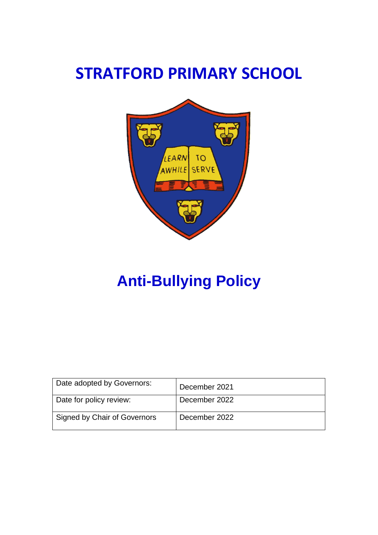# **STRATFORD PRIMARY SCHOOL**



# **Anti-Bullying Policy**

| Date adopted by Governors:   | December 2021 |
|------------------------------|---------------|
| Date for policy review:      | December 2022 |
| Signed by Chair of Governors | December 2022 |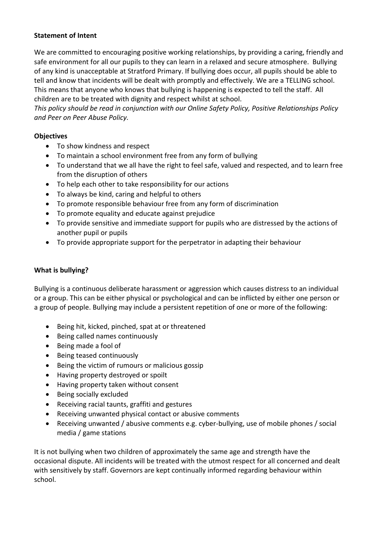#### **Statement of Intent**

We are committed to encouraging positive working relationships, by providing a caring, friendly and safe environment for all our pupils to they can learn in a relaxed and secure atmosphere. Bullying of any kind is unacceptable at Stratford Primary. If bullying does occur, all pupils should be able to tell and know that incidents will be dealt with promptly and effectively. We are a TELLING school. This means that anyone who knows that bullying is happening is expected to tell the staff. All children are to be treated with dignity and respect whilst at school.

*This policy should be read in conjunction with our Online Safety Policy, Positive Relationships Policy and Peer on Peer Abuse Policy.*

#### **Objectives**

- To show kindness and respect
- To maintain a school environment free from any form of bullying
- To understand that we all have the right to feel safe, valued and respected, and to learn free from the disruption of others
- To help each other to take responsibility for our actions
- To always be kind, caring and helpful to others
- To promote responsible behaviour free from any form of discrimination
- To promote equality and educate against prejudice
- To provide sensitive and immediate support for pupils who are distressed by the actions of another pupil or pupils
- To provide appropriate support for the perpetrator in adapting their behaviour

#### **What is bullying?**

Bullying is a continuous deliberate harassment or aggression which causes distress to an individual or a group. This can be either physical or psychological and can be inflicted by either one person or a group of people. Bullying may include a persistent repetition of one or more of the following:

- Being hit, kicked, pinched, spat at or threatened
- Being called names continuously
- Being made a fool of
- Being teased continuously
- Being the victim of rumours or malicious gossip
- Having property destroyed or spoilt
- Having property taken without consent
- Being socially excluded
- Receiving racial taunts, graffiti and gestures
- Receiving unwanted physical contact or abusive comments
- Receiving unwanted / abusive comments e.g. cyber-bullying, use of mobile phones / social media / game stations

It is not bullying when two children of approximately the same age and strength have the occasional dispute. All incidents will be treated with the utmost respect for all concerned and dealt with sensitively by staff. Governors are kept continually informed regarding behaviour within school.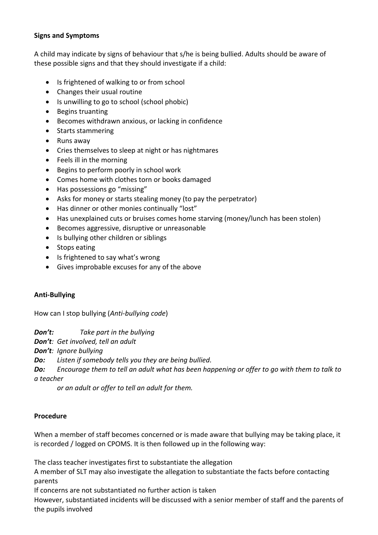#### **Signs and Symptoms**

A child may indicate by signs of behaviour that s/he is being bullied. Adults should be aware of these possible signs and that they should investigate if a child:

- Is frightened of walking to or from school
- Changes their usual routine
- Is unwilling to go to school (school phobic)
- Begins truanting
- Becomes withdrawn anxious, or lacking in confidence
- Starts stammering
- Runs away
- Cries themselves to sleep at night or has nightmares
- Feels ill in the morning
- Begins to perform poorly in school work
- Comes home with clothes torn or books damaged
- Has possessions go "missing"
- Asks for money or starts stealing money (to pay the perpetrator)
- Has dinner or other monies continually "lost"
- Has unexplained cuts or bruises comes home starving (money/lunch has been stolen)
- Becomes aggressive, disruptive or unreasonable
- Is bullying other children or siblings
- Stops eating
- Is frightened to say what's wrong
- Gives improbable excuses for any of the above

#### **Anti-Bullying**

How can I stop bullying (*Anti-bullying code*)

*Don't: Take part in the bullying*

*Don't: Get involved, tell an adult*

*Don't: Ignore bullying*

*Do: Listen if somebody tells you they are being bullied.*

*Do: Encourage them to tell an adult what has been happening or offer to go with them to talk to a teacher* 

*or an adult or offer to tell an adult for them.*

#### **Procedure**

When a member of staff becomes concerned or is made aware that bullying may be taking place, it is recorded / logged on CPOMS. It is then followed up in the following way:

The class teacher investigates first to substantiate the allegation

A member of SLT may also investigate the allegation to substantiate the facts before contacting parents

If concerns are not substantiated no further action is taken

However, substantiated incidents will be discussed with a senior member of staff and the parents of the pupils involved